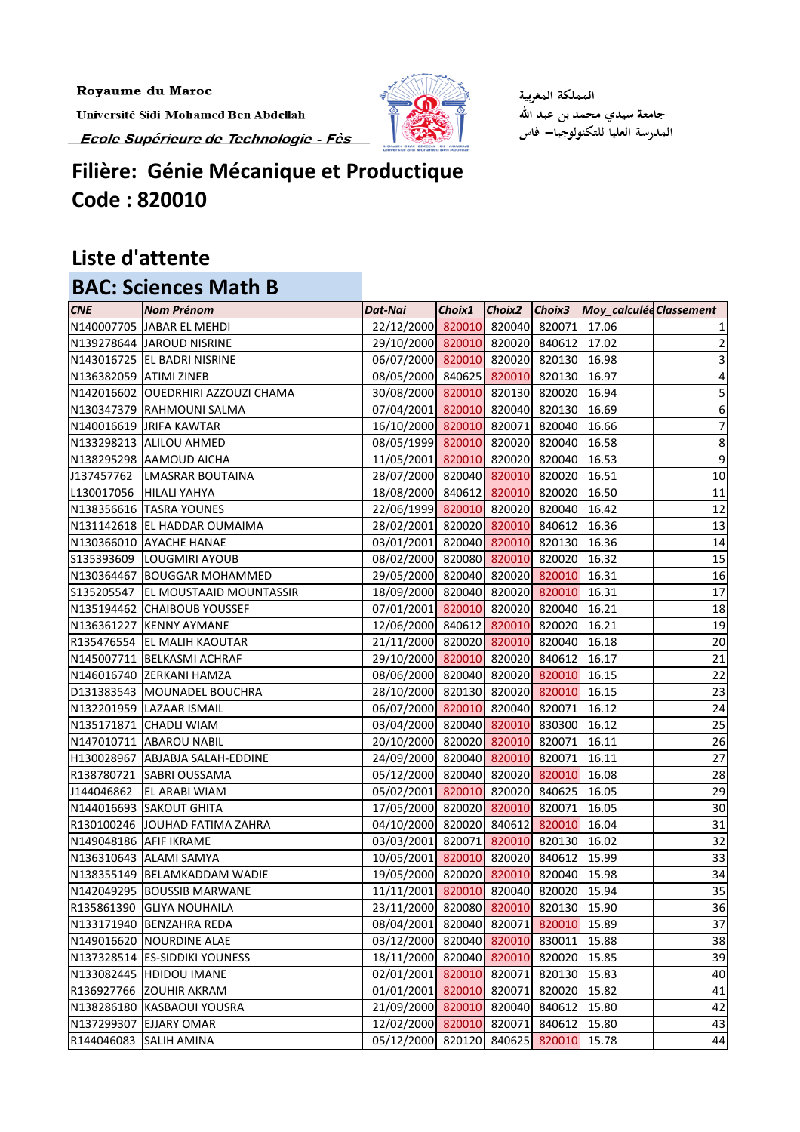Royaume du Maroc

Université Sidi Mohamed Ben Abdellah Ecole Supérieure de Technologie - Fès



المملكة المغربية جامعة سيدي محمد بن عبد الله المدرسة العليا للتكنولوجيا— فاس

## **Filière: Génie Mécanique et Productique Code : 820010**

## **Liste d'attente**

## **BAC: Sciences Math B**

| <b>CNE</b>             | <b>Nom Prénom</b>                  | Dat-Nai                               |        |               | Choix1 Choix2 Choix3 Moy_calculée Classement |                  |
|------------------------|------------------------------------|---------------------------------------|--------|---------------|----------------------------------------------|------------------|
|                        | N140007705 JABAR EL MEHDI          | 22/12/2000 820010 820040 820071 17.06 |        |               |                                              |                  |
|                        | N139278644 JAROUD NISRINE          | 29/10/2000 820010 820020 840612       |        |               | 17.02                                        | 2                |
|                        | N143016725 EL BADRI NISRINE        | 06/07/2000 820010 820020 820130 16.98 |        |               |                                              | 3                |
| N136382059 ATIMI ZINEB |                                    | 08/05/2000 840625 820010 820130 16.97 |        |               |                                              | 4                |
|                        | N142016602 OUEDRHIRI AZZOUZI CHAMA | 30/08/2000 820010 820130 820020 16.94 |        |               |                                              | 5                |
|                        | N130347379 RAHMOUNI SALMA          | 07/04/2001 820010 820040 820130 16.69 |        |               |                                              | 6                |
|                        | N140016619 JRIFA KAWTAR            | 16/10/2000 820010 820071 820040       |        |               | 16.66                                        | 7                |
|                        | N133298213 ALILOU AHMED            | 08/05/1999 820010 820020 820040       |        |               | 16.58                                        | 8                |
|                        | N138295298 AAMOUD AICHA            | 11/05/2001 820010 820020 820040       |        |               | 16.53                                        | $\boldsymbol{9}$ |
|                        | J137457762   LMASRAR BOUTAINA      | 28/07/2000 820040 820010 820020 16.51 |        |               |                                              | $10\,$           |
|                        | L130017056 HILALI YAHYA            | 18/08/2000 840612 820010 820020 16.50 |        |               |                                              | 11               |
|                        | N138356616  TASRA YOUNES           | 22/06/1999 820010 820020 820040       |        |               | 16.42                                        | 12               |
|                        | N131142618 EL HADDAR OUMAIMA       | 28/02/2001 820020 820010 840612       |        |               | 16.36                                        | 13               |
|                        | N130366010 AYACHE HANAE            | 03/01/2001 820040 820010 820130 16.36 |        |               |                                              | 14               |
|                        | S135393609  LOUGMIRI AYOUB         | 08/02/2000 820080 820010 820020 16.32 |        |               |                                              | 15               |
|                        | N130364467 BOUGGAR MOHAMMED        | 29/05/2000 820040 820020 820010 16.31 |        |               |                                              | 16               |
|                        | S135205547 EL MOUSTAAID MOUNTASSIR | 18/09/2000 820040 820020 820010       |        |               | 16.31                                        | $17\,$           |
|                        | N135194462 CHAIBOUB YOUSSEF        | 07/01/2001 820010 820020 820040 16.21 |        |               |                                              | 18               |
|                        | N136361227 KENNY AYMANE            | 12/06/2000 840612 820010 820020 16.21 |        |               |                                              | 19               |
|                        | R135476554 EL MALIH KAOUTAR        | 21/11/2000 820020 820010 820040 16.18 |        |               |                                              | 20               |
|                        | N145007711   BELKASMI ACHRAF       | 29/10/2000 820010 820020 840612       |        |               | 16.17                                        | 21               |
|                        | N146016740 ZERKANI HAMZA           | 08/06/2000 820040 820020 820010       |        |               | 16.15                                        | 22               |
|                        | D131383543 MOUNADEL BOUCHRA        | 28/10/2000 820130 820020 820010       |        |               | 16.15                                        | 23               |
|                        | N132201959 LAZAAR ISMAIL           | 06/07/2000 820010 820040 820071       |        |               | 16.12                                        | 24               |
|                        | N135171871 CHADLI WIAM             | 03/04/2000 820040 820010 830300       |        |               | 16.12                                        | 25               |
|                        | N147010711 ABAROU NABIL            | 20/10/2000 820020 820010 820071       |        |               | 16.11                                        | 26               |
|                        | H130028967 ABJABJA SALAH-EDDINE    | 24/09/2000 820040 820010 820071       |        |               | 16.11                                        | 27               |
|                        | R138780721 SABRI OUSSAMA           | 05/12/2000 820040 820020 820010       |        |               | 16.08                                        | 28               |
|                        | J144046862 EL ARABI WIAM           | 05/02/2001 820010 820020 840625       |        |               | 16.05                                        | 29               |
|                        | N144016693 SAKOUT GHITA            | 17/05/2000 820020 820010 820071       |        |               | 16.05                                        | 30 <sub>o</sub>  |
|                        | R130100246 JOUHAD FATIMA ZAHRA     | 04/10/2000 820020 840612 820010 16.04 |        |               |                                              | 31               |
| N149048186 AFIF IKRAME |                                    | 03/03/2001 820071 820010 820130       |        |               | 16.02                                        | 32               |
|                        | N136310643 ALAMI SAMYA             | 10/05/2001 820010 820020 840612       |        |               | 15.99                                        | 33               |
|                        | N138355149   BELAMKADDAM WADIE     | 19/05/2000 820020 820010 820040       |        |               | 15.98                                        | 34               |
|                        | N142049295 BOUSSIB MARWANE         | 11/11/2001 820010                     |        | 820040 820020 | 15.94                                        | 35               |
|                        | R135861390 GLIYA NOUHAILA          | 23/11/2000 820080 820010 820130       |        |               | 15.90                                        | 36               |
|                        | N133171940 BENZAHRA REDA           | 08/04/2001 820040 820071 820010       |        |               | 15.89                                        | 37               |
|                        | N149016620 NOURDINE ALAE           | 03/12/2000 820040 820010 830011       |        |               | 15.88                                        | 38               |
|                        | N137328514 ES-SIDDIKI YOUNESS      | 18/11/2000 820040 820010              |        | 820020        | 15.85                                        | 39               |
|                        | N133082445 HDIDOU IMANE            | 02/01/2001 820010                     | 820071 | 820130        | 15.83                                        | 40               |
|                        | R136927766 ZOUHIR AKRAM            | 01/01/2001 820010                     |        | 820071 820020 | 15.82                                        | 41               |
|                        | N138286180 KASBAOUI YOUSRA         | 21/09/2000 820010                     |        | 820040 840612 | 15.80                                        | 42               |
|                        | N137299307 EJJARY OMAR             | 12/02/2000 820010                     | 820071 | 840612        | 15.80                                        | 43               |
|                        | R144046083 SALIH AMINA             | 05/12/2000 820120 840625 820010       |        |               | 15.78                                        | 44               |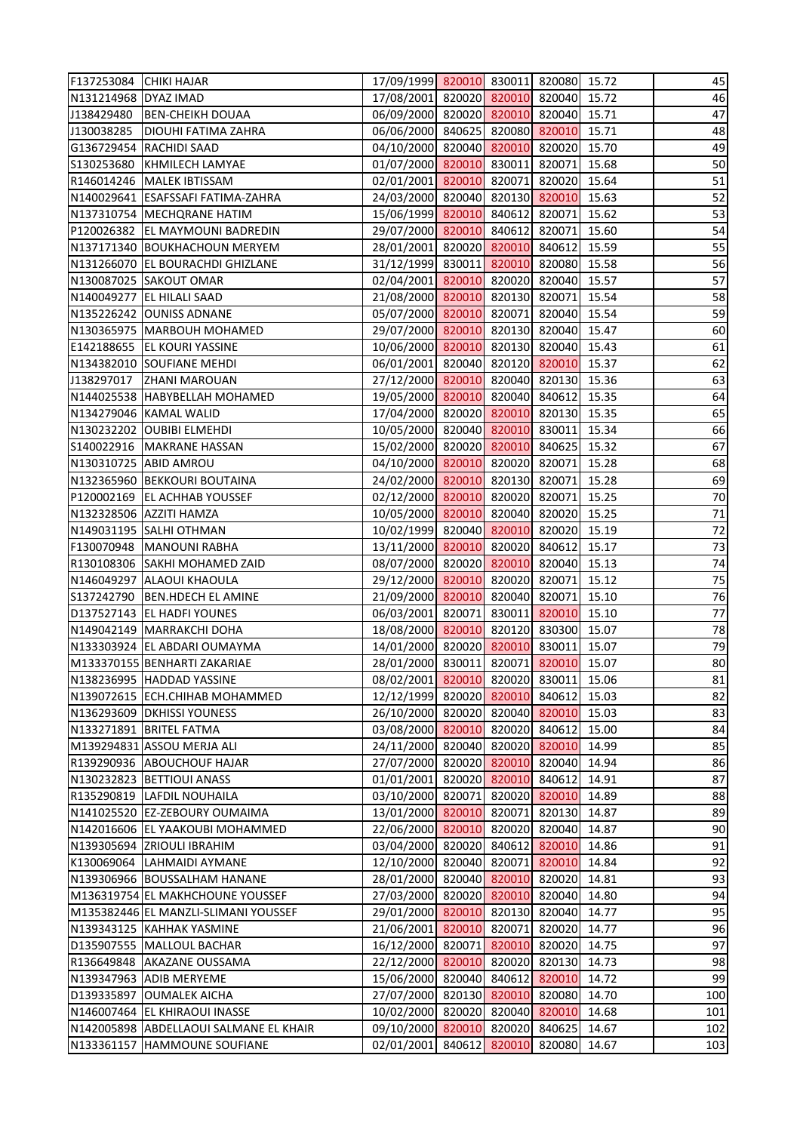| F137253084 CHIKI HAJAR |                                        | 17/09/1999 820010 830011 820080 15.72 |               |                      |       | 45       |
|------------------------|----------------------------------------|---------------------------------------|---------------|----------------------|-------|----------|
| N131214968 DYAZ IMAD   |                                        | 17/08/2001 820020 820010 820040 15.72 |               |                      |       | 46       |
|                        | J138429480 BEN-CHEIKH DOUAA            | 06/09/2000 820020 820010 820040 15.71 |               |                      |       | 47       |
|                        | J130038285   DIOUHI FATIMA ZAHRA       | 06/06/2000 840625 820080 820010 15.71 |               |                      |       | 48       |
|                        | G136729454 RACHIDI SAAD                | 04/10/2000 820040 820010 820020 15.70 |               |                      |       | 49       |
|                        | S130253680 KHMILECH LAMYAE             | 01/07/2000 820010 830011 820071       |               |                      | 15.68 | 50       |
|                        | R146014246   MALEK IBTISSAM            | 02/01/2001 820010 820071 820020 15.64 |               |                      |       | 51       |
|                        | N140029641 ESAFSSAFI FATIMA-ZAHRA      | 24/03/2000 820040 820130 820010       |               |                      | 15.63 | 52       |
|                        | N137310754 MECHQRANE HATIM             | 15/06/1999 820010 840612 820071       |               |                      | 15.62 | 53       |
|                        | P120026382 EL MAYMOUNI BADREDIN        | 29/07/2000 820010 840612 820071 15.60 |               |                      |       | 54       |
|                        | N137171340 BOUKHACHOUN MERYEM          | 28/01/2001 820020 820010 840612       |               |                      | 15.59 | 55       |
|                        | N131266070 EL BOURACHDI GHIZLANE       | 31/12/1999 830011 820010 820080 15.58 |               |                      |       | 56       |
|                        | N130087025 SAKOUT OMAR                 | 02/04/2001 820010 820020 820040       |               |                      | 15.57 | 57       |
|                        | N140049277 EL HILALI SAAD              | 21/08/2000 820010 820130 820071       |               |                      | 15.54 | 58       |
|                        | N135226242 OUNISS ADNANE               | 05/07/2000 820010 820071 820040 15.54 |               |                      |       | 59       |
|                        | N130365975   MARBOUH MOHAMED           | 29/07/2000 820010 820130 820040 15.47 |               |                      |       | 60       |
|                        | E142188655 EL KOURI YASSINE            | 10/06/2000 820010 820130 820040 15.43 |               |                      |       | 61       |
|                        | N134382010 SOUFIANE MEHDI              | 06/01/2001 820040 820120 820010       |               |                      | 15.37 | 62       |
|                        | J138297017 ZHANI MAROUAN               | 27/12/2000 820010 820040 820130 15.36 |               |                      |       |          |
|                        | N144025538 HABYBELLAH MOHAMED          | 19/05/2000 820010 820040 840612 15.35 |               |                      |       | 63<br>64 |
|                        | N134279046 KAMAL WALID                 | 17/04/2000 820020 820010 820130 15.35 |               |                      |       | 65       |
|                        | N130232202 OUBIBI ELMEHDI              | 10/05/2000 820040 820010 830011 15.34 |               |                      |       | 66       |
|                        | S140022916   MAKRANE HASSAN            | 15/02/2000 820020 820010 840625       |               |                      | 15.32 | 67       |
|                        | N130310725 ABID AMROU                  | 04/10/2000 820010 820020 820071       |               |                      | 15.28 | 68       |
|                        | N132365960 BEKKOURI BOUTAINA           | 24/02/2000 820010 820130 820071       |               |                      | 15.28 | 69       |
|                        | P120002169 EL ACHHAB YOUSSEF           | 02/12/2000 820010 820020 820071       |               |                      | 15.25 | 70       |
|                        | N132328506 AZZITI HAMZA                | 10/05/2000 820010 820040 820020 15.25 |               |                      |       | 71       |
|                        | N149031195 SALHI OTHMAN                | 10/02/1999 820040 820010 820020       |               |                      | 15.19 | 72       |
|                        | F130070948   MANOUNI RABHA             | 13/11/2000 820010 820020 840612       |               |                      | 15.17 | 73       |
|                        | R130108306 SAKHI MOHAMED ZAID          | 08/07/2000 820020 820010 820040 15.13 |               |                      |       | 74       |
|                        | N146049297 ALAOUI KHAOULA              | 29/12/2000 820010 820020 820071 15.12 |               |                      |       | 75       |
|                        | S137242790   BEN.HDECH EL AMINE        | 21/09/2000 820010 820040 820071 15.10 |               |                      |       | 76       |
|                        | D137527143 EL HADFI YOUNES             | 06/03/2001 820071                     |               | 830011 820010        | 15.10 | 77       |
|                        | N149042149 MARRAKCHI DOHA              | 18/08/2000 820010 820120 830300       |               |                      | 15.07 | 78       |
|                        | N133303924 EL ABDARI OUMAYMA           | 14/01/2000 820020 820010 830011       |               |                      | 15.07 | 79       |
|                        | M133370155 BENHARTI ZAKARIAE           | 28/01/2000 830011                     |               | 820071 820010        | 15.07 | 80       |
|                        | N138236995 HADDAD YASSINE              | 08/02/2001 820010 820020 830011       |               |                      | 15.06 | 81       |
|                        | N139072615 ECH.CHIHAB MOHAMMED         | 12/12/1999 820020 820010 840612       |               |                      | 15.03 | 82       |
|                        | N136293609 DKHISSI YOUNESS             | 26/10/2000 820020 820040 820010       |               |                      | 15.03 | 83       |
|                        | N133271891  BRITEL FATMA               | 03/08/2000 820010 820020 840612       |               |                      | 15.00 | 84       |
|                        | M139294831 ASSOU MERJA ALI             | 24/11/2000                            |               | 820040 820020 820010 | 14.99 | 85       |
|                        | R139290936 ABOUCHOUF HAJAR             | 27/07/2000 820020 820010 820040       |               |                      | 14.94 | 86       |
|                        | N130232823 BETTIOUI ANASS              | 01/01/2001 820020 820010 840612       |               |                      | 14.91 | 87       |
|                        | R135290819 LAFDIL NOUHAILA             | 03/10/2000 820071 820020 820010       |               |                      | 14.89 | 88       |
|                        | N141025520 EZ-ZEBOURY OUMAIMA          | 13/01/2000 820010 820071 820130       |               |                      | 14.87 | 89       |
|                        | N142016606 EL YAAKOUBI MOHAMMED        | 22/06/2000                            |               | 820010 820020 820040 | 14.87 | 90       |
|                        | N139305694 ZRIOULI IBRAHIM             | 03/04/2000 820020 840612              |               | 820010               | 14.86 | 91       |
|                        | K130069064 LAHMAIDI AYMANE             | 12/10/2000 820040 820071 820010       |               |                      | 14.84 | 92       |
|                        | N139306966 BOUSSALHAM HANANE           | 28/01/2000 820040 820010 820020       |               |                      | 14.81 | 93       |
|                        | M136319754 EL MAKHCHOUNE YOUSSEF       | 27/03/2000 820020 820010 820040       |               |                      | 14.80 | 94       |
|                        | M135382446 EL MANZLI-SLIMANI YOUSSEF   | 29/01/2000 820010 820130 820040       |               |                      | 14.77 | 95       |
|                        | N139343125 KAHHAK YASMINE              | 21/06/2001 820010 820071              |               | 820020               | 14.77 | 96       |
|                        | D135907555   MALLOUL BACHAR            | 16/12/2000 820071 820010 820020       |               |                      | 14.75 | 97       |
|                        | R136649848 AKAZANE OUSSAMA             | 22/12/2000 820010 820020 820130       |               |                      | 14.73 | 98       |
|                        | N139347963 ADIB MERYEME                | 15/06/2000 820040 840612 820010       |               |                      | 14.72 | 99       |
|                        | D139335897 OUMALEK AICHA               | 27/07/2000                            | 820130 820010 | 820080               | 14.70 | 100      |
|                        | N146007464 EL KHIRAOUI INASSE          | 10/02/2000 820020 820040 820010       |               |                      | 14.68 | 101      |
|                        | N142005898 ABDELLAOUI SALMANE EL KHAIR | 09/10/2000 820010 820020 840625       |               |                      | 14.67 | 102      |
|                        | N133361157 HAMMOUNE SOUFIANE           | 02/01/2001 840612 820010 820080       |               |                      | 14.67 | 103      |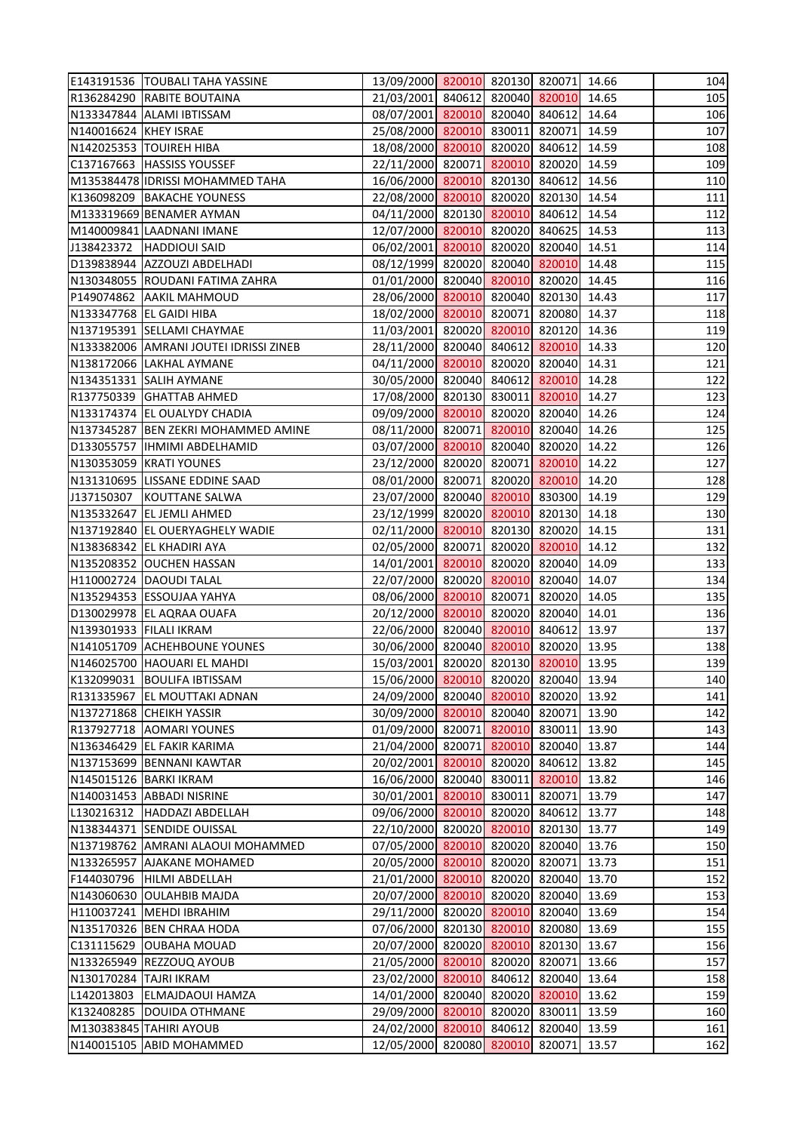|                         | E143191536   TOUBALI TAHA YASSINE                   | 13/09/2000 820010 820130 820071 14.66                                    |  |                      |       | 104        |
|-------------------------|-----------------------------------------------------|--------------------------------------------------------------------------|--|----------------------|-------|------------|
|                         | R136284290 RABITE BOUTAINA                          | 21/03/2001 840612 820040 820010 14.65                                    |  |                      |       | 105        |
|                         | N133347844 ALAMI IBTISSAM                           | 08/07/2001 820010 820040 840612 14.64                                    |  |                      |       | 106        |
| N140016624 KHEY ISRAE   |                                                     | 25/08/2000 820010 830011 820071                                          |  |                      | 14.59 | 107        |
|                         | N142025353  TOUIREH HIBA                            | 18/08/2000 820010 820020 840612 14.59                                    |  |                      |       | 108        |
|                         | C137167663   HASSISS YOUSSEF                        | 22/11/2000 820071 820010 820020 14.59                                    |  |                      |       | 109        |
|                         | M135384478 IDRISSI MOHAMMED TAHA                    | 16/06/2000 820010 820130 840612                                          |  |                      | 14.56 | 110        |
|                         | K136098209   BAKACHE YOUNESS                        | 22/08/2000 820010 820020 820130 14.54                                    |  |                      |       | 111        |
|                         | M133319669 BENAMER AYMAN                            | 04/11/2000 820130 820010 840612                                          |  |                      | 14.54 | 112        |
|                         | M140009841 LAADNANI IMANE                           | 12/07/2000 820010 820020 840625 14.53                                    |  |                      |       | 113        |
|                         | J138423372   HADDIOUI SAID                          | 06/02/2001 820010 820020 820040 14.51                                    |  |                      |       | 114        |
|                         | D139838944 AZZOUZI ABDELHADI                        | 08/12/1999 820020 820040 820010 14.48                                    |  |                      |       | 115        |
|                         | N130348055 ROUDANI FATIMA ZAHRA                     | 01/01/2000 820040 820010 820020                                          |  |                      | 14.45 | 116        |
|                         | P149074862 AAKIL MAHMOUD                            | 28/06/2000 820010 820040 820130                                          |  |                      | 14.43 | 117        |
|                         | N133347768 EL GAIDI HIBA                            | 18/02/2000 820010 820071 820080 14.37                                    |  |                      |       | 118        |
|                         | N137195391 SELLAMI CHAYMAE                          | 11/03/2001 820020 820010 820120 14.36                                    |  |                      |       | 119        |
|                         | N133382006 AMRANI JOUTEI IDRISSI ZINEB              | 28/11/2000 820040 840612 820010 14.33                                    |  |                      |       | 120        |
|                         | N138172066 LAKHAL AYMANE                            | 04/11/2000 820010 820020 820040 14.31                                    |  |                      |       | 121        |
|                         | N134351331 SALIH AYMANE                             | 30/05/2000 820040 840612 820010                                          |  |                      | 14.28 | 122        |
|                         | R137750339 GHATTAB AHMED                            | 17/08/2000 820130 830011 820010 14.27                                    |  |                      |       | 123        |
|                         | N133174374 EL OUALYDY CHADIA                        | 09/09/2000 820010 820020 820040 14.26                                    |  |                      |       | 124        |
|                         | N137345287 BEN ZEKRI MOHAMMED AMINE                 | 08/11/2000 820071 820010 820040 14.26                                    |  |                      |       | 125        |
|                         | D133055757  IHMIMI ABDELHAMID                       | 03/07/2000 820010 820040 820020 14.22                                    |  |                      |       | 126        |
|                         | N130353059 KRATI YOUNES                             | 23/12/2000 820020 820071 820010                                          |  |                      | 14.22 | 127        |
|                         |                                                     |                                                                          |  |                      |       |            |
|                         | N131310695 LISSANE EDDINE SAAD                      | 08/01/2000 820071 820020 820010 14.20                                    |  |                      |       | 128        |
|                         | J137150307 KOUTTANE SALWA                           | 23/07/2000 820040 820010 830300                                          |  |                      | 14.19 | 129        |
|                         | N135332647 EL JEMLI AHMED                           | 23/12/1999 820020 820010 820130 14.18                                    |  |                      |       | 130        |
|                         | N137192840 EL OUERYAGHELY WADIE                     | 02/11/2000 820010 820130 820020                                          |  |                      | 14.15 | 131        |
|                         | N138368342 EL KHADIRI AYA                           | 02/05/2000 820071 820020 820010<br>14/01/2001 820010 820020 820040 14.09 |  |                      | 14.12 | 132        |
|                         | N135208352 OUCHEN HASSAN<br>H110002724 DAOUDI TALAL | 22/07/2000 820020 820010 820040 14.07                                    |  |                      |       | 133<br>134 |
|                         | N135294353 ESSOUJAA YAHYA                           | 08/06/2000 820010 820071 820020 14.05                                    |  |                      |       | 135        |
|                         | D130029978 EL AQRAA OUAFA                           | 20/12/2000 820010 820020 820040 14.01                                    |  |                      |       | 136        |
| N139301933 FILALI IKRAM |                                                     | 22/06/2000 820040 820010 840612                                          |  |                      | 13.97 | 137        |
|                         | N141051709 ACHEHBOUNE YOUNES                        | 30/06/2000 820040 820010 820020 13.95                                    |  |                      |       | 138        |
|                         | N146025700 HAOUARI EL MAHDI                         | 15/03/2001                                                               |  | 820020 820130 820010 | 13.95 | 139        |
| K132099031              | <b>BOULIFA IBTISSAM</b>                             | 15/06/2000 820010                                                        |  | 820020 820040        | 13.94 | 140        |
|                         | R131335967 EL MOUTTAKI ADNAN                        | 24/09/2000 820040 820010 820020 13.92                                    |  |                      |       | 141        |
|                         | N137271868 CHEIKH YASSIR                            | 30/09/2000 820010 820040 820071                                          |  |                      | 13.90 | 142        |
|                         | R137927718 AOMARI YOUNES                            | 01/09/2000 820071 820010 830011                                          |  |                      | 13.90 | 143        |
|                         | N136346429 EL FAKIR KARIMA                          | 21/04/2000 820071 820010 820040                                          |  |                      | 13.87 | 144        |
|                         | N137153699 BENNANI KAWTAR                           | 20/02/2001 820010 820020 840612                                          |  |                      | 13.82 | 145        |
|                         | N145015126 BARKI IKRAM                              | 16/06/2000 820040 830011 820010                                          |  |                      | 13.82 | 146        |
|                         | N140031453 ABBADI NISRINE                           | 30/01/2001 820010 830011 820071                                          |  |                      | 13.79 | 147        |
|                         | L130216312  HADDAZI ABDELLAH                        | 09/06/2000 820010 820020 840612 13.77                                    |  |                      |       | 148        |
|                         | N138344371 SENDIDE OUISSAL                          | 22/10/2000 820020 820010 820130                                          |  |                      | 13.77 | 149        |
|                         | N137198762 AMRANI ALAOUI MOHAMMED                   | 07/05/2000 820010 820020 820040                                          |  |                      | 13.76 | 150        |
|                         | N133265957 AJAKANE MOHAMED                          | 20/05/2000 820010 820020 820071                                          |  |                      | 13.73 | 151        |
|                         | F144030796  HILMI ABDELLAH                          | 21/01/2000 820010 820020 820040                                          |  |                      | 13.70 | 152        |
|                         | N143060630 OULAHBIB MAJDA                           | 20/07/2000 820010 820020 820040                                          |  |                      | 13.69 | 153        |
|                         | H110037241   MEHDI IBRAHIM                          | 29/11/2000 820020 820010 820040                                          |  |                      | 13.69 | 154        |
|                         | N135170326 BEN CHRAA HODA                           | 07/06/2000 820130 820010 820080                                          |  |                      | 13.69 | 155        |
|                         | C131115629 OUBAHA MOUAD                             | 20/07/2000 820020 820010 820130                                          |  |                      | 13.67 | 156        |
|                         | N133265949 REZZOUQ AYOUB                            | 21/05/2000 820010 820020 820071                                          |  |                      | 13.66 | 157        |
| N130170284 TAJRI IKRAM  |                                                     | 23/02/2000 820010 840612 820040                                          |  |                      | 13.64 | 158        |
|                         | L142013803 ELMAJDAOUI HAMZA                         | 14/01/2000 820040 820020 820010                                          |  |                      | 13.62 | 159        |
| K132408285              | <b>DOUIDA OTHMANE</b>                               | 29/09/2000 820010                                                        |  | 820020 830011        | 13.59 | 160        |
|                         | M130383845 TAHIRI AYOUB                             | 24/02/2000 820010 840612 820040                                          |  |                      | 13.59 | 161        |
|                         | N140015105 ABID MOHAMMED                            | 12/05/2000                                                               |  | 820080 820010 820071 | 13.57 | 162        |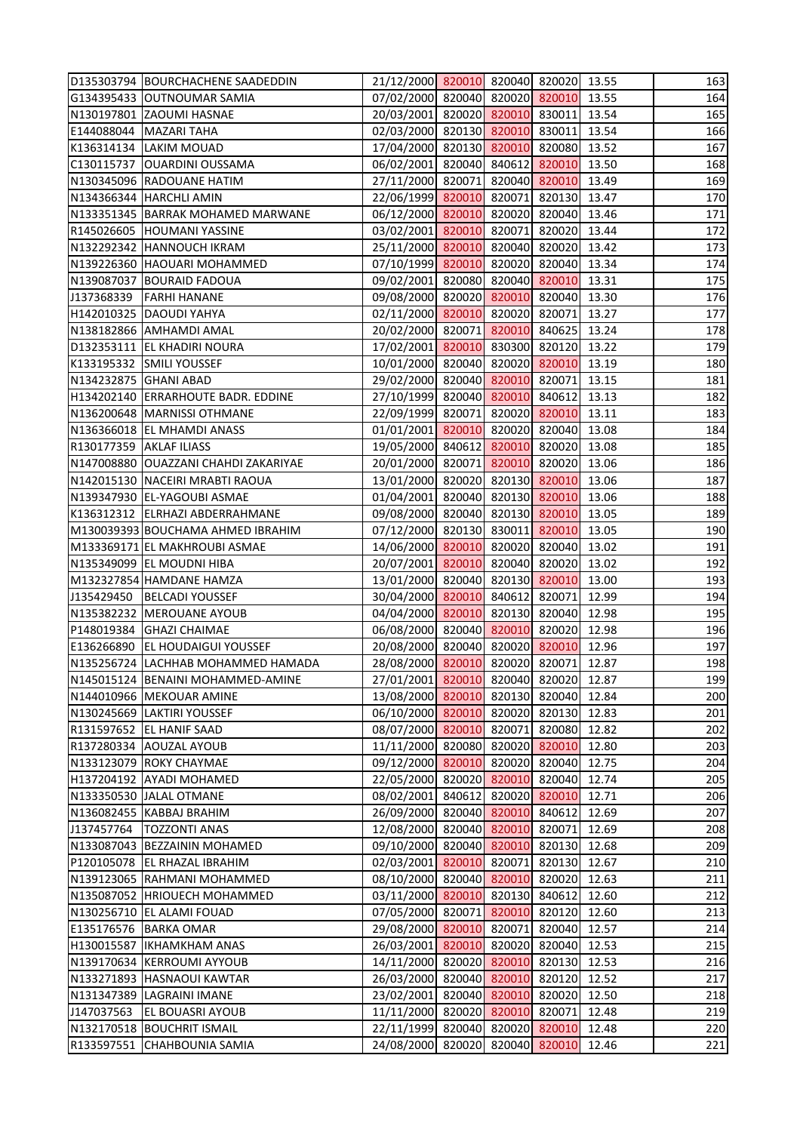|                         | D135303794 BOURCHACHENE SAADEDDIN    | 21/12/2000 820010 820040 820020 13.55 |  |               |       | 163 |
|-------------------------|--------------------------------------|---------------------------------------|--|---------------|-------|-----|
|                         | G134395433 OUTNOUMAR SAMIA           | 07/02/2000 820040 820020 820010 13.55 |  |               |       | 164 |
|                         | N130197801 ZAOUMI HASNAE             | 20/03/2001 820020 820010 830011 13.54 |  |               |       | 165 |
|                         | E144088044   MAZARI TAHA             | 02/03/2000 820130 820010 830011       |  |               | 13.54 | 166 |
|                         | K136314134 LAKIM MOUAD               | 17/04/2000 820130 820010 820080 13.52 |  |               |       | 167 |
|                         | C130115737   OUARDINI OUSSAMA        | 06/02/2001 820040 840612 820010 13.50 |  |               |       | 168 |
|                         | N130345096 RADOUANE HATIM            | 27/11/2000 820071 820040 820010 13.49 |  |               |       | 169 |
|                         | N134366344 HARCHLI AMIN              | 22/06/1999 820010 820071 820130 13.47 |  |               |       | 170 |
|                         | N133351345   BARRAK MOHAMED MARWANE  | 06/12/2000 820010 820020 820040       |  |               | 13.46 | 171 |
|                         | R145026605 HOUMANI YASSINE           | 03/02/2001 820010 820071 820020 13.44 |  |               |       | 172 |
|                         | N132292342 HANNOUCH IKRAM            | 25/11/2000 820010 820040 820020 13.42 |  |               |       | 173 |
|                         | N139226360 HAOUARI MOHAMMED          | 07/10/1999 820010 820020 820040 13.34 |  |               |       | 174 |
|                         | N139087037 BOURAID FADOUA            | 09/02/2001 820080 820040 820010 13.31 |  |               |       | 175 |
|                         | J137368339   FARHI HANANE            | 09/08/2000 820020 820010 820040       |  |               | 13.30 | 176 |
|                         | H142010325 DAOUDI YAHYA              | 02/11/2000 820010 820020 820071 13.27 |  |               |       | 177 |
|                         | N138182866 AMHAMDI AMAL              | 20/02/2000 820071 820010 840625 13.24 |  |               |       | 178 |
|                         | D132353111 EL KHADIRI NOURA          | 17/02/2001 820010 830300 820120 13.22 |  |               |       | 179 |
|                         | K133195332 SMILI YOUSSEF             | 10/01/2000 820040 820020 820010 13.19 |  |               |       | 180 |
| N134232875 GHANI ABAD   |                                      | 29/02/2000 820040 820010 820071       |  |               | 13.15 | 181 |
|                         | H134202140 ERRARHOUTE BADR. EDDINE   | 27/10/1999 820040 820010 840612 13.13 |  |               |       | 182 |
|                         | N136200648   MARNISSI OTHMANE        | 22/09/1999 820071 820020 820010 13.11 |  |               |       | 183 |
|                         | N136366018 EL MHAMDI ANASS           | 01/01/2001 820010 820020 820040 13.08 |  |               |       | 184 |
| R130177359 AKLAF ILIASS |                                      | 19/05/2000 840612 820010 820020 13.08 |  |               |       | 185 |
|                         | N147008880 OUAZZANI CHAHDI ZAKARIYAE | 20/01/2000 820071 820010 820020       |  |               | 13.06 | 186 |
|                         | N142015130 NACEIRI MRABTI RAOUA      | 13/01/2000 820020 820130 820010 13.06 |  |               |       | 187 |
|                         | N139347930 EL-YAGOUBI ASMAE          | 01/04/2001 820040 820130 820010       |  |               | 13.06 | 188 |
|                         | K136312312 ELRHAZI ABDERRAHMANE      | 09/08/2000 820040 820130 820010 13.05 |  |               |       | 189 |
|                         | M130039393 BOUCHAMA AHMED IBRAHIM    | 07/12/2000 820130 830011 820010 13.05 |  |               |       | 190 |
|                         | M133369171 EL MAKHROUBI ASMAE        | 14/06/2000 820010 820020 820040       |  |               | 13.02 | 191 |
|                         | N135349099 EL MOUDNI HIBA            | 20/07/2001 820010 820040 820020 13.02 |  |               |       | 192 |
|                         | M132327854 HAMDANE HAMZA             | 13/01/2000 820040 820130 820010 13.00 |  |               |       | 193 |
|                         | J135429450  BELCADI YOUSSEF          | 30/04/2000 820010 840612 820071 12.99 |  |               |       | 194 |
|                         | N135382232 MEROUANE AYOUB            | 04/04/2000 820010 820130 820040 12.98 |  |               |       | 195 |
|                         | P148019384 GHAZI CHAIMAE             | 06/08/2000 820040 820010 820020 12.98 |  |               |       | 196 |
|                         | E136266890 EL HOUDAIGUI YOUSSEF      | 20/08/2000 820040 820020 820010 12.96 |  |               |       | 197 |
|                         | N135256724 LACHHAB MOHAMMED HAMADA   | 28/08/2000 820010 820020 820071       |  |               | 12.87 | 198 |
|                         | N145015124   BENAINI MOHAMMED-AMINE  | 27/01/2001 820010 820040 820020       |  |               | 12.87 | 199 |
|                         | N144010966   MEKOUAR AMINE           | 13/08/2000 820010 820130 820040       |  |               | 12.84 | 200 |
|                         | N130245669 LAKTIRI YOUSSEF           | 06/10/2000 820010 820020 820130       |  |               | 12.83 | 201 |
|                         | R131597652 EL HANIF SAAD             | 08/07/2000 820010 820071 820080       |  |               | 12.82 | 202 |
|                         | R137280334 AOUZAL AYOUB              | 11/11/2000 820080 820020 820010       |  |               | 12.80 | 203 |
|                         | N133123079 ROKY CHAYMAE              | 09/12/2000 820010                     |  | 820020 820040 | 12.75 | 204 |
|                         | H137204192 AYADI MOHAMED             | 22/05/2000 820020 820010 820040       |  |               | 12.74 | 205 |
|                         | N133350530 JALAL OTMANE              | 08/02/2001 840612 820020 820010       |  |               | 12.71 | 206 |
|                         | N136082455 KABBAJ BRAHIM             | 26/09/2000 820040 820010 840612       |  |               | 12.69 | 207 |
|                         | J137457764   TOZZONTI ANAS           | 12/08/2000 820040 820010 820071       |  |               | 12.69 | 208 |
|                         | N133087043 BEZZAININ MOHAMED         | 09/10/2000 820040 820010 820130       |  |               | 12.68 | 209 |
|                         | P120105078 EL RHAZAL IBRAHIM         | 02/03/2001 820010 820071 820130 12.67 |  |               |       | 210 |
|                         | N139123065 RAHMANI MOHAMMED          | 08/10/2000 820040 820010 820020       |  |               | 12.63 | 211 |
|                         | N135087052 HRIOUECH MOHAMMED         | 03/11/2000 820010 820130 840612       |  |               | 12.60 | 212 |
|                         | N130256710 EL ALAMI FOUAD            | 07/05/2000 820071 820010 820120       |  |               | 12.60 | 213 |
|                         | E135176576 BARKA OMAR                | 29/08/2000 820010 820071 820040       |  |               | 12.57 | 214 |
|                         | H130015587   IKHAMKHAM ANAS          | 26/03/2001 820010 820020 820040 12.53 |  |               |       | 215 |
|                         | N139170634 KERROUMI AYYOUB           | 14/11/2000 820020 820010 820130       |  |               | 12.53 | 216 |
|                         | N133271893 HASNAOUI KAWTAR           | 26/03/2000 820040 820010 820120       |  |               | 12.52 | 217 |
|                         | N131347389 LAGRAINI IMANE            | 23/02/2001 820040 820010 820020       |  |               | 12.50 | 218 |
| J147037563              | <b>EL BOUASRI AYOUB</b>              | 11/11/2000 820020 820010 820071       |  |               | 12.48 | 219 |
|                         | N132170518 BOUCHRIT ISMAIL           | 22/11/1999 820040 820020 820010       |  |               | 12.48 | 220 |
|                         | R133597551 CHAHBOUNIA SAMIA          | 24/08/2000 820020 820040 820010       |  |               | 12.46 | 221 |
|                         |                                      |                                       |  |               |       |     |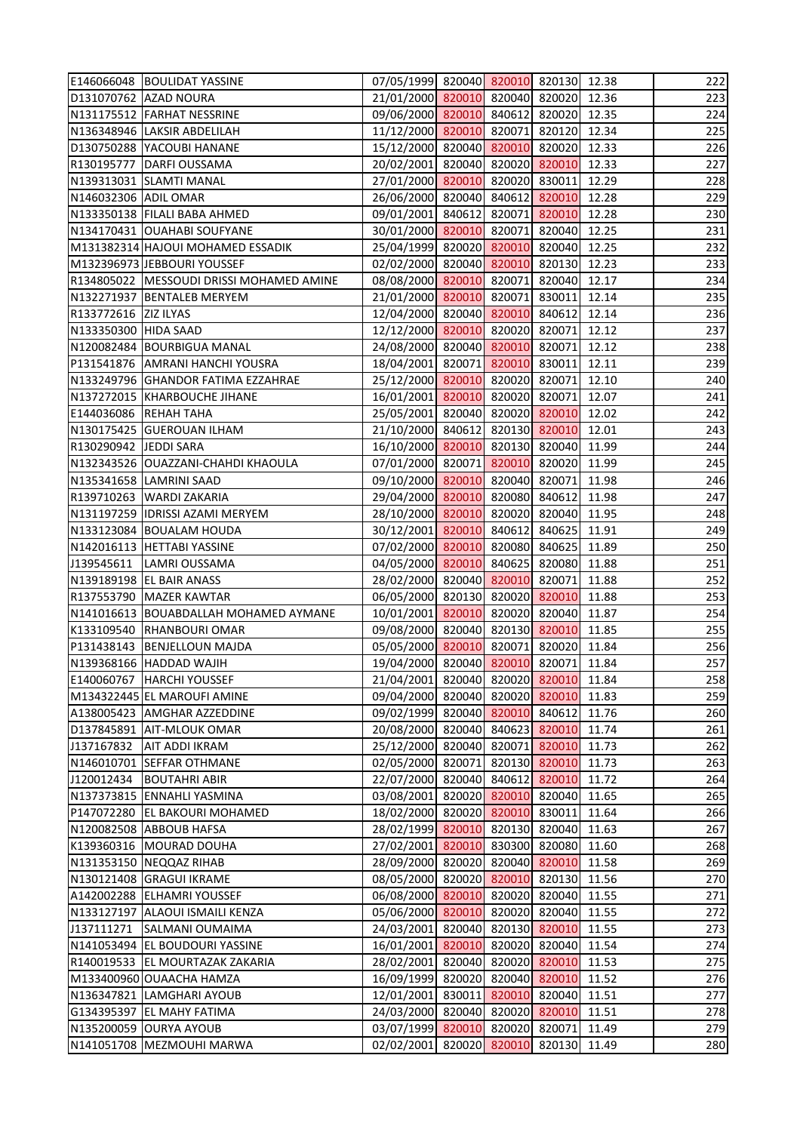|                       | E146066048 BOULIDAT YASSINE                | 07/05/1999 820040 820010 820130 12.38 |  |               |       | 222 |
|-----------------------|--------------------------------------------|---------------------------------------|--|---------------|-------|-----|
|                       | D131070762 AZAD NOURA                      | 21/01/2000 820010 820040 820020 12.36 |  |               |       | 223 |
|                       | N131175512 FARHAT NESSRINE                 | 09/06/2000 820010 840612 820020 12.35 |  |               |       | 224 |
|                       | N136348946 LAKSIR ABDELILAH                | 11/12/2000 820010 820071 820120 12.34 |  |               |       | 225 |
|                       | D130750288 YACOUBI HANANE                  | 15/12/2000 820040 820010 820020 12.33 |  |               |       | 226 |
|                       | R130195777 DARFI OUSSAMA                   | 20/02/2001 820040 820020 820010       |  |               | 12.33 | 227 |
|                       | N139313031 SLAMTI MANAL                    | 27/01/2000 820010 820020 830011 12.29 |  |               |       | 228 |
| N146032306 ADIL OMAR  |                                            | 26/06/2000 820040 840612 820010       |  |               | 12.28 | 229 |
|                       | N133350138 FILALI BABA AHMED               | 09/01/2001 840612 820071 820010       |  |               | 12.28 | 230 |
|                       | N134170431 OUAHABI SOUFYANE                | 30/01/2000 820010 820071 820040 12.25 |  |               |       | 231 |
|                       | M131382314 HAJOUI MOHAMED ESSADIK          | 25/04/1999 820020 820010 820040       |  |               | 12.25 | 232 |
|                       | M132396973 JEBBOURI YOUSSEF                | 02/02/2000 820040 820010 820130 12.23 |  |               |       | 233 |
|                       | R134805022   MESSOUDI DRISSI MOHAMED AMINE | 08/08/2000 820010 820071 820040 12.17 |  |               |       | 234 |
|                       | N132271937 BENTALEB MERYEM                 | 21/01/2000 820010 820071 830011       |  |               | 12.14 | 235 |
| R133772616 ZIZ ILYAS  |                                            | 12/04/2000 820040 820010 840612       |  |               | 12.14 | 236 |
| N133350300 HIDA SAAD  |                                            | 12/12/2000 820010 820020 820071       |  |               | 12.12 | 237 |
|                       | N120082484 BOURBIGUA MANAL                 | 24/08/2000 820040 820010 820071       |  |               | 12.12 | 238 |
|                       | P131541876 AMRANI HANCHI YOUSRA            | 18/04/2001 820071 820010 830011       |  |               | 12.11 | 239 |
|                       | N133249796 GHANDOR FATIMA EZZAHRAE         | 25/12/2000 820010 820020 820071       |  |               | 12.10 | 240 |
|                       | N137272015 KHARBOUCHE JIHANE               | 16/01/2001 820010 820020 820071 12.07 |  |               |       | 241 |
|                       | E144036086 REHAH TAHA                      | 25/05/2001 820040 820020 820010 12.02 |  |               |       | 242 |
|                       | N130175425 GUEROUAN ILHAM                  | 21/10/2000 840612 820130 820010 12.01 |  |               |       | 243 |
| R130290942 JEDDI SARA |                                            | 16/10/2000 820010 820130 820040 11.99 |  |               |       | 244 |
|                       | N132343526 OUAZZANI-CHAHDI KHAOULA         | 07/01/2000 820071 820010 820020       |  |               | 11.99 | 245 |
|                       | N135341658 LAMRINI SAAD                    | 09/10/2000 820010 820040 820071       |  |               | 11.98 | 246 |
|                       | R139710263 WARDI ZAKARIA                   | 29/04/2000 820010 820080 840612       |  |               | 11.98 | 247 |
|                       | N131197259 IDRISSI AZAMI MERYEM            | 28/10/2000 820010 820020 820040 11.95 |  |               |       | 248 |
|                       | N133123084 BOUALAM HOUDA                   | 30/12/2001 820010 840612 840625       |  |               | 11.91 | 249 |
|                       | N142016113 HETTABI YASSINE                 | 07/02/2000 820010 820080 840625       |  |               | 11.89 | 250 |
|                       | J139545611  LAMRI OUSSAMA                  | 04/05/2000 820010 840625 820080       |  |               | 11.88 | 251 |
|                       | N139189198 EL BAIR ANASS                   | 28/02/2000 820040 820010 820071       |  |               | 11.88 | 252 |
|                       | R137553790 MAZER KAWTAR                    | 06/05/2000 820130 820020 820010 11.88 |  |               |       | 253 |
|                       | N141016613 BOUABDALLAH MOHAMED AYMANE      | 10/01/2001 820010 820020 820040 11.87 |  |               |       | 254 |
|                       | K133109540 RHANBOURI OMAR                  | 09/08/2000 820040 820130 820010       |  |               | 11.85 | 255 |
|                       | P131438143 BENJELLOUN MAJDA                | 05/05/2000 820010 820071 820020 11.84 |  |               |       | 256 |
|                       | N139368166 HADDAD WAJIH                    | 19/04/2000 820040 820010 820071       |  |               | 11.84 | 257 |
|                       | E140060767 HARCHI YOUSSEF                  | 21/04/2001 820040 820020 820010       |  |               | 11.84 | 258 |
|                       | M134322445 EL MAROUFI AMINE                | 09/04/2000 820040 820020 820010       |  |               | 11.83 | 259 |
|                       | A138005423   AMGHAR AZZEDDINE              | 09/02/1999 820040 820010 840612       |  |               | 11.76 | 260 |
|                       | D137845891 AIT-MLOUK OMAR                  | 20/08/2000 820040 840623 820010 11.74 |  |               |       | 261 |
| J137167832            | <b>AIT ADDI IKRAM</b>                      | 25/12/2000 820040 820071 820010       |  |               | 11.73 | 262 |
|                       | N146010701 SEFFAR OTHMANE                  | 02/05/2000 820071 820130 820010       |  |               | 11.73 | 263 |
|                       | J120012434 BOUTAHRI ABIR                   | 22/07/2000 820040 840612 820010       |  |               | 11.72 | 264 |
|                       | N137373815 ENNAHLI YASMINA                 | 03/08/2001 820020 820010 820040       |  |               | 11.65 | 265 |
|                       | P147072280 EL BAKOURI MOHAMED              | 18/02/2000 820020 820010 830011       |  |               | 11.64 | 266 |
|                       | N120082508 ABBOUB HAFSA                    | 28/02/1999 820010 820130 820040       |  |               | 11.63 | 267 |
|                       | K139360316   MOURAD DOUHA                  | 27/02/2001 820010                     |  | 830300 820080 | 11.60 | 268 |
|                       | N131353150 NEQQAZ RIHAB                    | 28/09/2000 820020 820040 820010       |  |               | 11.58 | 269 |
|                       | N130121408 GRAGUI IKRAME                   | 08/05/2000 820020 820010 820130       |  |               | 11.56 | 270 |
|                       | A142002288 ELHAMRI YOUSSEF                 | 06/08/2000 820010 820020 820040       |  |               | 11.55 | 271 |
|                       | N133127197 ALAOUI ISMAILI KENZA            | 05/06/2000 820010 820020 820040       |  |               | 11.55 | 272 |
| J137111271            | <b>SALMANI OUMAIMA</b>                     | 24/03/2001 820040 820130 820010       |  |               | 11.55 | 273 |
|                       | N141053494 EL BOUDOURI YASSINE             | 16/01/2001 820010 820020 820040       |  |               | 11.54 | 274 |
|                       | R140019533 EL MOURTAZAK ZAKARIA            | 28/02/2001 820040 820020 820010       |  |               | 11.53 | 275 |
|                       | M133400960 OUAACHA HAMZA                   | 16/09/1999 820020 820040 820010       |  |               | 11.52 | 276 |
|                       | N136347821 LAMGHARI AYOUB                  | 12/01/2001 830011                     |  | 820010 820040 | 11.51 | 277 |
|                       | G134395397 EL MAHY FATIMA                  | 24/03/2000 820040 820020 820010       |  |               | 11.51 | 278 |
|                       | N135200059 OURYA AYOUB                     | 03/07/1999 820010 820020 820071       |  |               | 11.49 | 279 |
|                       | N141051708 MEZMOUHI MARWA                  | 02/02/2001 820020 820010 820130       |  |               | 11.49 | 280 |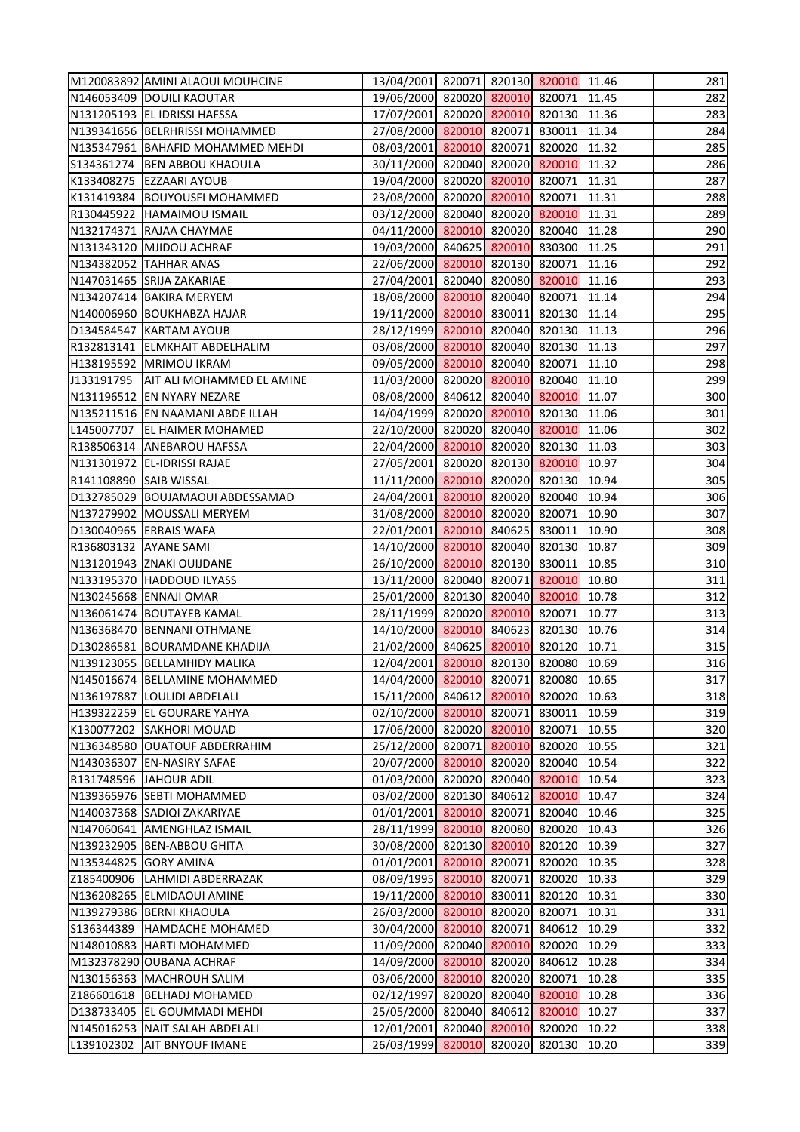|                        | M120083892 AMINI ALAOUI MOUHCINE                             | 13/04/2001 820071 820130 820010 11.46                              |  |        |                | 281        |
|------------------------|--------------------------------------------------------------|--------------------------------------------------------------------|--|--------|----------------|------------|
|                        | N146053409 DOUILI KAOUTAR                                    | 19/06/2000 820020 820010 820071 11.45                              |  |        |                | 282        |
|                        | N131205193 EL IDRISSI HAFSSA                                 | 17/07/2001 820020 820010 820130                                    |  |        | 11.36          | 283        |
|                        | N139341656 BELRHRISSI MOHAMMED                               | 27/08/2000 820010 820071 830011                                    |  |        | 11.34          | 284        |
|                        | N135347961 BAHAFID MOHAMMED MEHDI                            | 08/03/2001 820010 820071 820020                                    |  |        | 11.32          | 285        |
|                        | S134361274   BEN ABBOU KHAOULA                               | 30/11/2000 820040 820020 820010                                    |  |        | 11.32          | 286        |
|                        | K133408275 EZZAARI AYOUB                                     | 19/04/2000 820020 820010 820071 11.31                              |  |        |                | 287        |
|                        | K131419384 BOUYOUSFI MOHAMMED                                | 23/08/2000 820020 820010 820071                                    |  |        | 11.31          | 288        |
|                        | R130445922 HAMAIMOU ISMAIL                                   | 03/12/2000 820040 820020 820010                                    |  |        | 11.31          | 289        |
|                        | N132174371 RAJAA CHAYMAE                                     | 04/11/2000 820010 820020 820040 11.28                              |  |        |                | 290        |
|                        | N131343120 MJIDOU ACHRAF                                     | 19/03/2000 840625 820010 830300 11.25                              |  |        |                | 291        |
|                        | N134382052 TAHHAR ANAS                                       | 22/06/2000 820010 820130 820071 11.16                              |  |        |                | 292        |
|                        | N147031465 SRIJA ZAKARIAE                                    | 27/04/2001 820040 820080 820010                                    |  |        | 11.16          | 293        |
|                        | N134207414 BAKIRA MERYEM                                     | 18/08/2000 820010 820040 820071                                    |  |        | 11.14          | 294        |
|                        | N140006960 BOUKHABZA HAJAR                                   | 19/11/2000 820010 830011 820130 11.14                              |  |        |                | 295        |
|                        | D134584547 KARTAM AYOUB                                      | 28/12/1999 820010 820040 820130 11.13                              |  |        |                | 296        |
|                        | R132813141 ELMKHAIT ABDELHALIM                               | 03/08/2000 820010 820040 820130 11.13                              |  |        |                | 297        |
|                        | H138195592 MRIMOU IKRAM                                      | 09/05/2000 820010 820040 820071                                    |  |        | 11.10          | 298        |
|                        | J133191795   AIT ALI MOHAMMED EL AMINE                       | 11/03/2000 820020 820010 820040                                    |  |        | 11.10          | 299        |
|                        | N131196512 EN NYARY NEZARE                                   | 08/08/2000 840612 820040 820010 11.07                              |  |        |                | 300        |
|                        | N135211516 EN NAAMANI ABDE ILLAH                             | 14/04/1999 820020 820010 820130 11.06                              |  |        |                | 301        |
|                        | L145007707   EL HAIMER MOHAMED                               | 22/10/2000 820020 820040 820010 11.06                              |  |        |                | 302        |
|                        |                                                              |                                                                    |  |        |                | 303        |
|                        | R138506314 ANEBAROU HAFSSA                                   | 22/04/2000 820010 820020 820130                                    |  |        | 11.03          |            |
|                        | N131301972 EL-IDRISSI RAJAE                                  | 27/05/2001 820020 820130 820010                                    |  |        | 10.97          | 304        |
| R141108890 SAIB WISSAL |                                                              | 11/11/2000 820010 820020 820130                                    |  |        | 10.94          | 305        |
|                        | D132785029 BOUJAMAOUI ABDESSAMAD                             | 24/04/2001 820010 820020 820040                                    |  |        | 10.94          | 306        |
|                        | N137279902 MOUSSALI MERYEM                                   | 31/08/2000 820010 820020 820071                                    |  |        | 10.90          | 307        |
|                        | D130040965 ERRAIS WAFA                                       | 22/01/2001 820010 840625 830011                                    |  |        | 10.90          | 308        |
| R136803132 AYANE SAMI  |                                                              | 14/10/2000 820010 820040 820130                                    |  |        | 10.87          | 309        |
|                        | N131201943 ZNAKI OUIJDANE                                    | 26/10/2000 820010 820130 830011                                    |  |        | 10.85          | 310        |
|                        | N133195370 HADDOUD ILYASS                                    | 13/11/2000 820040 820071 820010 10.80                              |  |        |                | 311        |
|                        | N130245668 ENNAJI OMAR                                       | 25/01/2000 820130 820040 820010 10.78                              |  |        |                | 312        |
|                        | N136061474 BOUTAYEB KAMAL                                    | 28/11/1999 820020 820010 820071                                    |  |        | 10.77          | 313        |
|                        | N136368470 BENNANI OTHMANE                                   | 14/10/2000 820010 840623 820130                                    |  |        | 10.76          | 314        |
|                        | D130286581 BOURAMDANE KHADIJA                                | 21/02/2000 840625 820010 820120                                    |  |        | 10.71          | 315        |
|                        | N139123055  BELLAMHIDY MALIKA                                | 12/04/2001 820010 820130 820080                                    |  |        | 10.69          | 316        |
|                        | N145016674 BELLAMINE MOHAMMED                                | 14/04/2000 820010 820071 820080                                    |  |        | 10.65          | 317        |
|                        | N136197887 LOULIDI ABDELALI                                  | 15/11/2000 840612 820010 820020                                    |  |        | 10.63          | 318        |
|                        | H139322259 EL GOURARE YAHYA                                  | 02/10/2000 820010 820071 830011                                    |  |        | 10.59          | 319        |
|                        | K130077202 SAKHORI MOUAD                                     | 17/06/2000 820020 820010 820071                                    |  |        | 10.55          | 320        |
|                        | N136348580 OUATOUF ABDERRAHIM                                | 25/12/2000 820071 820010 820020                                    |  |        | 10.55          | 321        |
|                        | N143036307 EN-NASIRY SAFAE                                   | 20/07/2000 820010 820020 820040                                    |  |        | 10.54          | 322        |
|                        | R131748596 JAHOUR ADIL                                       | 01/03/2000 820020 820040 820010                                    |  |        | 10.54          | 323        |
|                        | N139365976 SEBTI MOHAMMED                                    | 03/02/2000 820130 840612 820010                                    |  |        | 10.47          | 324        |
|                        | N140037368 SADIQI ZAKARIYAE                                  | 01/01/2001 820010 820071 820040                                    |  |        | 10.46          | 325        |
|                        | N147060641 AMENGHLAZ ISMAIL                                  | 28/11/1999 820010 820080 820020                                    |  |        | 10.43          | 326        |
|                        | N139232905 BEN-ABBOU GHITA                                   | 30/08/2000 820130 820010 820120                                    |  |        | 10.39          | 327        |
|                        | N135344825 GORY AMINA                                        | 01/01/2001 820010 820071 820020                                    |  |        | 10.35          | 328        |
|                        | Z185400906 LAHMIDI ABDERRAZAK                                | 08/09/1995 820010 820071 820020                                    |  |        | 10.33          | 329        |
|                        | N136208265 ELMIDAOUI AMINE                                   | 19/11/2000 820010 830011 820120                                    |  |        | 10.31          | 330        |
|                        | N139279386 BERNI KHAOULA                                     | 26/03/2000 820010 820020 820071                                    |  |        | 10.31          | 331        |
|                        | S136344389 HAMDACHE MOHAMED                                  | 30/04/2000 820010 820071                                           |  | 840612 | 10.29          | 332        |
|                        | N148010883 HARTI MOHAMMED                                    | 11/09/2000 820040 820010 820020                                    |  |        | 10.29          | 333        |
|                        | M132378290 OUBANA ACHRAF                                     | 14/09/2000 820010 820020 840612                                    |  |        | 10.28          | 334        |
|                        | N130156363 MACHROUH SALIM                                    | 03/06/2000 820010 820020 820071                                    |  |        | 10.28          | 335        |
|                        | Z186601618   BELHADJ MOHAMED<br>D138733405 EL GOUMMADI MEHDI | 02/12/1997 820020 820040 820010<br>25/05/2000 820040 840612 820010 |  |        | 10.28<br>10.27 | 336<br>337 |
|                        | N145016253 NAIT SALAH ABDELALI                               | 12/01/2001 820040 820010 820020                                    |  |        | 10.22          | 338        |
|                        | L139102302 AIT BNYOUF IMANE                                  | 26/03/1999 820010 820020 820130                                    |  |        | 10.20          | 339        |
|                        |                                                              |                                                                    |  |        |                |            |